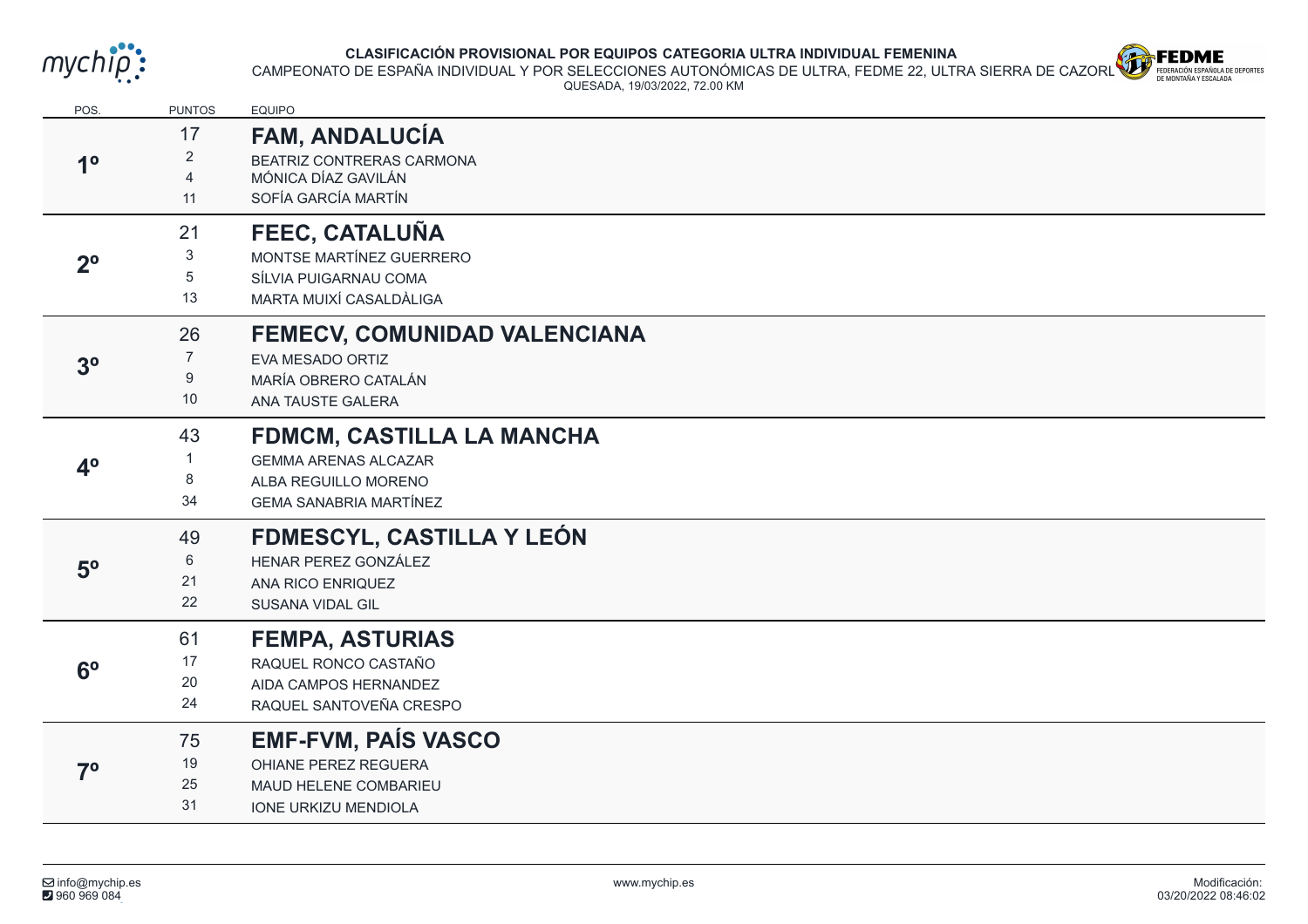

## **CLASIFICACIÓN PROVISIONAL POR EQUIPOS CATEGORIA ULTRA INDIVIDUAL FEMENINA**



CAMPEONATO DE ESPAÑA INDIVIDUAL Y POR SELECCIONES AUTONÓMICAS DE ULTRA, FEDME 22, ULTRA SIERRA DE CAZORLA E DE CAMPANY QUESADA, 19/03/2022, 72.00 KM

| POS.           | <b>PUNTOS</b>                                        | <b>EQUIPO</b>                                                                                                     |
|----------------|------------------------------------------------------|-------------------------------------------------------------------------------------------------------------------|
| 1 <sup>0</sup> | 17<br>$\overline{2}$<br>$\overline{4}$<br>11         | <b>FAM, ANDALUCÍA</b><br>BEATRIZ CONTRERAS CARMONA<br>MÓNICA DÍAZ GAVILÁN<br>SOFÍA GARCÍA MARTÍN                  |
| 2 <sup>o</sup> | 21<br>$\ensuremath{\mathsf{3}}$<br>$\,$ 5 $\,$<br>13 | FEEC, CATALUÑA<br>MONTSE MARTÍNEZ GUERRERO<br>SÍLVIA PUIGARNAU COMA<br>MARTA MUIXÍ CASALDÀLIGA                    |
| 3 <sup>o</sup> | 26<br>$\overline{7}$<br>$\boldsymbol{9}$<br>10       | FEMECV, COMUNIDAD VALENCIANA<br>EVA MESADO ORTIZ<br>MARÍA OBRERO CATALÁN<br>ANA TAUSTE GALERA                     |
| 4 <sup>o</sup> | 43<br>8<br>34                                        | FDMCM, CASTILLA LA MANCHA<br><b>GEMMA ARENAS ALCAZAR</b><br>ALBA REGUILLO MORENO<br><b>GEMA SANABRIA MARTÍNEZ</b> |
| 5 <sup>o</sup> | 49<br>6<br>21<br>22                                  | FDMESCYL, CASTILLA Y LEÓN<br>HENAR PEREZ GONZÁLEZ<br>ANA RICO ENRIQUEZ<br>SUSANA VIDAL GIL                        |
| 6 <sup>o</sup> | 61<br>17<br>20<br>24                                 | <b>FEMPA, ASTURIAS</b><br>RAQUEL RONCO CASTAÑO<br>AIDA CAMPOS HERNANDEZ<br>RAQUEL SANTOVEÑA CRESPO                |
| 7 <sup>o</sup> | 75<br>19<br>25<br>31                                 | <b>EMF-FVM, PAIS VASCO</b><br>OHIANE PEREZ REGUERA<br>MAUD HELENE COMBARIEU<br><b>IONE URKIZU MENDIOLA</b>        |